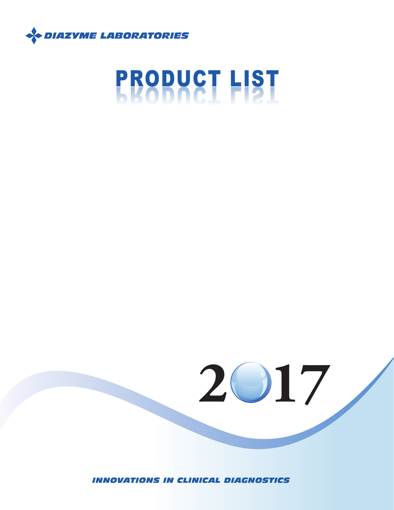

# PRODUCT LIST PRODUCT LIST

*INNOVATIONS IN CLINICAL DIAGNOSTICS*

**2 17**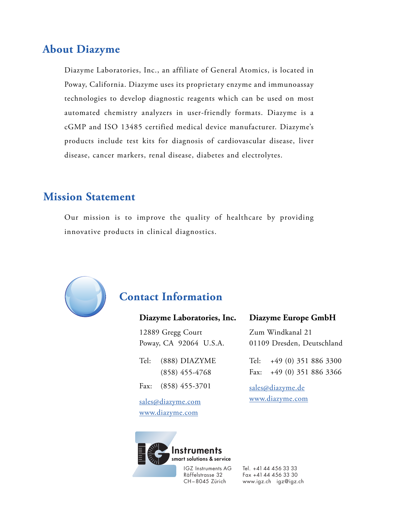#### **About Diazyme**

Diazyme Laboratories, Inc., an affiliate of General Atomics, is located in Poway, California. Diazyme uses its proprietary enzyme and immunoassay technologies to develop diagnostic reagents which can be used on most automated chemistry analyzers in user-friendly formats. Diazyme is a cGMP and ISO 13485 certified medical device manufacturer. Diazyme's products include test kits for diagnosis of cardiovascular disease, liver disease, cancer markers, renal disease, diabetes and electrolytes.

## **Mission Statement**

Our mission is to improve the quality of healthcare by providing innovative products in clinical diagnostics.



## **Contact Information**

#### **Diazyme Laboratories, Inc.**

12889 Gregg Court Poway, CA 92064 U.S.A.

Tel: (888) DIAZYME (858) 455-4768 Fax: (858) 455-3701

sales@diazyme.com www.diazyme.com

#### **Diazyme Europe GmbH**

Zum Windkanal 21 01109 Dresden, Deutschland

Tel: +49 (0) 351 886 3300 Fax: +49 (0) 351 886 3366

sales@diazyme.de www.diazyme.com



IGZ Instruments AG Räffelstrasse 32 CH–8045 Zürich

Tel. +41 44 456 33 33 Fax +41 44 456 33 30 www.igz.ch igz@igz.ch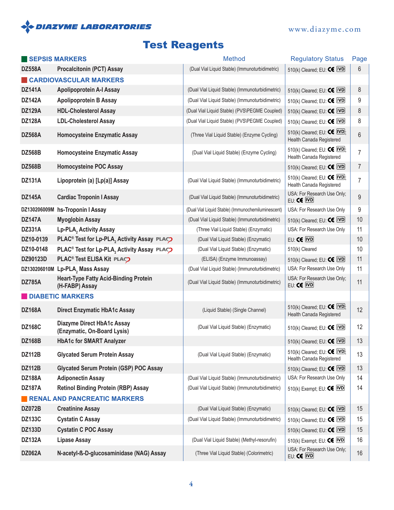

# Test Reagents

| SEPSIS MARKERS |                                                                  | <b>Method</b>                                      | <b>Regulatory Status</b>                                                   | Page           |
|----------------|------------------------------------------------------------------|----------------------------------------------------|----------------------------------------------------------------------------|----------------|
| <b>DZ558A</b>  | <b>Procalcitonin (PCT) Assay</b>                                 | (Dual Vial Liquid Stable) (Immunoturbidimetric)    | 510(k) Cleared; EU: $\textsf{CE}$ IVD                                      | 6              |
|                | <b>CARDIOVASCULAR MARKERS</b>                                    |                                                    |                                                                            |                |
| <b>DZ141A</b>  | <b>Apolipoprotein A-I Assay</b>                                  | (Dual Vial Liquid Stable) (Immunoturbidimetric)    | 510(k) Cleared; EU: $\textsf{CE}$ IVD                                      | 8              |
| <b>DZ142A</b>  | <b>Apolipoprotein B Assay</b>                                    | (Dual Vial Liquid Stable) (Immunoturbidimetric)    | 510(k) Cleared; EU: $\textsf{CE}$ IVD                                      | 9              |
| <b>DZ129A</b>  | <b>HDL-Cholesterol Assay</b>                                     | (Dual Vial Liquid Stable) (PVS\PEGME Coupled)      | 510(k) Cleared; EU: $\textsf{CE}$ IVD                                      | 8              |
| <b>DZ128A</b>  | <b>LDL-Cholesterol Assay</b>                                     | (Dual Vial Liquid Stable) (PVS\PEGME Coupled)      | 510(k) Cleared; EU: $\textsf{CE}$ IVD                                      | 8              |
| <b>DZ568A</b>  | <b>Homocysteine Enzymatic Assay</b>                              | (Three Vial Liquid Stable) (Enzyme Cycling)        | 510(k) Cleared; EU: $\textsf{CE}$ [VD];<br>Health Canada Registered        | 6              |
| <b>DZ568B</b>  | <b>Homocysteine Enzymatic Assay</b>                              | (Dual Vial Liquid Stable) (Enzyme Cycling)         | 510(k) Cleared; EU: $\textsf{CE}$ [VD];<br>Health Canada Registered        | 7              |
| <b>DZ568B</b>  | <b>Homocysteine POC Assay</b>                                    |                                                    | 510(k) Cleared; EU: $\textsf{CE}$ IVD                                      | $\overline{7}$ |
| <b>DZ131A</b>  | Lipoprotein (a) [Lp(a)] Assay                                    | (Dual Vial Liquid Stable) (Immunoturbidimetric)    | 510(k) Cleared; EU: $\text{CE}$ $\text{IVD}$ ;<br>Health Canada Registered | $\overline{7}$ |
| <b>DZ145A</b>  | <b>Cardiac Troponin I Assay</b>                                  | (Dual Vial Liquid Stable) (Immunoturbidimetric)    | USA: For Research Use Only;<br>EU: CE IVD                                  | 9              |
|                | DZ130206009M hs-Troponin I Assay                                 | (Dual Vial Liquid Stable) (Immunochemiluminescent) | USA: For Research Use Only                                                 | 9              |
| <b>DZ147A</b>  | <b>Myoglobin Assay</b>                                           | (Dual Vial Liquid Stable) (Immunoturbidimetric)    | 510(k) Cleared; EU: $\textsf{CE}$ IVD                                      | 10             |
| <b>DZ331A</b>  | Lp-PLA, Activity Assay                                           | (Three Vial Liquid Stable) (Enzymatic)             | USA: For Research Use Only                                                 | 11             |
| DZ10-0139      | PLAC <sup>®</sup> Test for Lp-PLA, Activity Assay PLAC           | (Dual Vial Liquid Stable) (Enzymatic)              | EU: CE IVD                                                                 | 10             |
| DZ10-0148      | PLAC <sup>®</sup> Test for Lp-PLA, Activity Assay PLAC           | (Dual Vial Liquid Stable) (Enzymatic)              | 510(k) Cleared                                                             | 10             |
| DZ90123D       | PLAC <sup>®</sup> Test ELISA Kit PLAC                            | (ELISA) (Enzyme Immunoassay)                       | 510(k) Cleared; EU: $\textsf{CE}$ IVD                                      | 11             |
|                | DZ130206010M Lp-PLA, Mass Assay                                  | (Dual Vial Liquid Stable) (Immunoturbidimetric)    | USA: For Research Use Only                                                 | 11             |
| <b>DZ785A</b>  | <b>Heart-Type Fatty Acid-Binding Protein</b><br>(H-FABP) Assay   | (Dual Vial Liquid Stable) (Immunoturbidimetric)    | USA: For Research Use Only;<br>EU: CE IVD                                  | 11             |
|                | <b>DIABETIC MARKERS</b>                                          |                                                    |                                                                            |                |
| <b>DZ168A</b>  | <b>Direct Enzymatic HbA1c Assay</b>                              | (Liquid Stable) (Single Channel)                   | 510(k) Cleared; EU: $\text{CE}$ IVD;<br>Health Canada Registered           | 12             |
| <b>DZ168C</b>  | <b>Diazyme Direct HbA1c Assay</b><br>(Enzymatic, On-Board Lysis) | (Dual Vial Liquid Stable) (Enzymatic)              | 510(k) Cleared; EU: $\textsf{CE}$ IVD                                      | 12             |
| <b>DZ168B</b>  | <b>HbA1c for SMART Analyzer</b>                                  |                                                    | 510(k) Cleared; EU: CE IVD                                                 | 13             |
| <b>DZ112B</b>  | <b>Glycated Serum Protein Assay</b>                              | (Dual Vial Liquid Stable) (Enzymatic)              | 510(k) Cleared; EU: $\text{CE}$ IVD;<br>Health Canada Registered           | 13             |
| <b>DZ112B</b>  | <b>Glycated Serum Protein (GSP) POC Assay</b>                    |                                                    | 510(k) Cleared; EU: $\text{CE}$ [VD]                                       | 13             |
| <b>DZ188A</b>  | <b>Adiponectin Assay</b>                                         | (Dual Vial Liquid Stable) (Immunoturbidimetric)    | USA: For Research Use Only                                                 | 14             |
| <b>DZ187A</b>  | <b>Retinol Binding Protein (RBP) Assay</b>                       | (Dual Vial Liquid Stable) (Immunoturbidimetric)    | 510(k) Exempt; EU: $\textsf{CE}$ [VD]                                      | 14             |
|                | <b>RENAL AND PANCREATIC MARKERS</b>                              |                                                    |                                                                            |                |
| <b>DZ072B</b>  | <b>Creatinine Assay</b>                                          | (Dual Vial Liquid Stable) (Enzymatic)              | 510(k) Cleared; EU: $\textsf{CE}$ IVD                                      | 15             |
| <b>DZ133C</b>  | <b>Cystatin C Assay</b>                                          | (Dual Vial Liquid Stable) (Immunoturbidimetric)    | 510(k) Cleared; EU: $\text{CE}$ [VD]                                       | 15             |
| <b>DZ133D</b>  | <b>Cystatin C POC Assay</b>                                      |                                                    | 510(k) Cleared; EU: $\textsf{CE}$ [VD]                                     | 15             |
| <b>DZ132A</b>  | <b>Lipase Assay</b>                                              | (Dual Vial Liquid Stable) (Methyl-resorufin)       | 510(k) Exempt; EU: $\textsf{CE}$ IVD                                       | 16             |
| <b>DZ062A</b>  | N-acetyl-ß-D-glucosaminidase (NAG) Assay                         | (Three Vial Liquid Stable) (Colorimetric)          | USA: For Research Use Only;<br>EU: CE IVD                                  | 16             |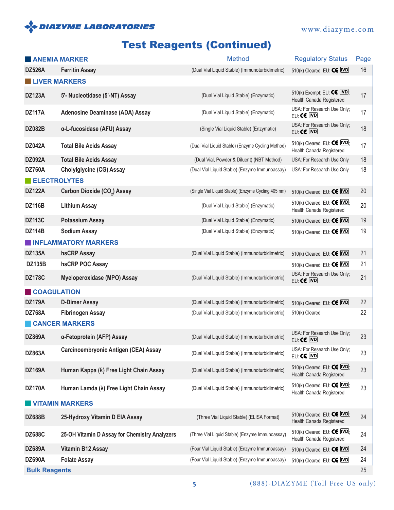## **SOLAZYME LABORATORIES**

# Test Reagents (Continued)

|                                      | <b>ANEMIA MARKER</b>                             | Method                                              | <b>Regulatory Status</b>                                                    | Page |
|--------------------------------------|--------------------------------------------------|-----------------------------------------------------|-----------------------------------------------------------------------------|------|
| <b>DZ526A</b>                        | <b>Ferritin Assay</b>                            | (Dual Vial Liquid Stable) (Immunoturbidimetric)     | 510(k) Cleared; EU: $\textsf{CE}$ IVD                                       | 16   |
| <b>LIVER MARKERS</b>                 |                                                  |                                                     |                                                                             |      |
| <b>DZ123A</b>                        | 5'- Nucleotidase (5'-NT) Assay                   | (Dual Vial Liquid Stable) (Enzymatic)               | 510(k) Exempt; EU: $\text{CE}$ [VD];<br>Health Canada Registered            | 17   |
| <b>DZ117A</b>                        | <b>Adenosine Deaminase (ADA) Assay</b>           | (Dual Vial Liquid Stable) (Enzymatic)               | USA: For Research Use Only;<br>EU: CE IVD                                   | 17   |
| <b>DZ082B</b>                        | α-L-fucosidase (AFU) Assay                       | (Single Vial Liquid Stable) (Enzymatic)             | USA: For Research Use Only;<br>EU: CE IVD                                   | 18   |
| <b>DZ042A</b>                        | <b>Total Bile Acids Assay</b>                    | (Dual Vial Liquid Stable) (Enzyme Cycling Method)   | 510(k) Cleared; EU: $\text{CE}$ $\text{IVD}$ ;<br>Health Canada Registered  | 17   |
| <b>DZ092A</b>                        | <b>Total Bile Acids Assay</b>                    | (Dual Vial, Powder & Diluent) (NBT Method)          | USA: For Research Use Only                                                  | 18   |
| <b>DZ760A</b><br><b>ELECTROLYTES</b> | <b>Cholylglycine (CG) Assay</b>                  | (Dual Vial Liquid Stable) (Enzyme Immunoassay)      | USA: For Research Use Only                                                  | 18   |
| <b>DZ122A</b>                        | Carbon Dioxide (CO <sub>2</sub> ) Assay          | (Single Vial Liquid Stable) (Enzyme Cycling 405 nm) | 510(k) Cleared; EU: $\textsf{CE}$ IVD                                       | 20   |
| <b>DZ116B</b>                        | <b>Lithium Assay</b>                             | (Dual Vial Liquid Stable) (Enzymatic)               | 510(k) Cleared; EU: $\text{CE}$ IVD;<br>Health Canada Registered            | 20   |
| <b>DZ113C</b>                        | <b>Potassium Assay</b>                           | (Dual Vial Liquid Stable) (Enzymatic)               | 510(k) Cleared; EU: $\textsf{CE}$ IVD                                       | 19   |
| <b>DZ114B</b>                        | <b>Sodium Assay</b>                              | (Dual Vial Liquid Stable) (Enzymatic)               | 510(k) Cleared; EU: $\textsf{CE}$ IVD                                       | 19   |
|                                      | <b>INFLAMMATORY MARKERS</b>                      |                                                     |                                                                             |      |
| <b>DZ135A</b>                        | hsCRP Assay                                      | (Dual Vial Liquid Stable) (Immunoturbidimetric)     | 510(k) Cleared; EU: $\textsf{CE}$ IVD                                       | 21   |
| <b>DZ135B</b>                        | hsCRP POC Assay                                  |                                                     | 510(k) Cleared; EU: $\textsf{CE}$ IVD                                       | 21   |
| <b>DZ178C</b>                        | <b>Myeloperoxidase (MPO) Assay</b>               | (Dual Vial Liquid Stable) (Immunoturbidimetric)     | USA: For Research Use Only;<br>EU: CE IVD                                   | 21   |
| <b>COAGULATION</b>                   |                                                  |                                                     |                                                                             |      |
| <b>DZ179A</b>                        | <b>D-Dimer Assay</b>                             | (Dual Vial Liquid Stable) (Immunoturbidimetric)     | 510(k) Cleared; EU: $\textsf{CE}$ IVD                                       | 22   |
| <b>DZ768A</b>                        | <b>Fibrinogen Assay</b><br><b>CANCER MARKERS</b> | (Dual Vial Liquid Stable) (Immunoturbidimetric)     | 510(k) Cleared                                                              | 22   |
| <b>DZ869A</b>                        | α-Fetoprotein (AFP) Assay                        | (Dual Vial Liquid Stable) (Immunoturbidimetric)     | USA: For Research Use Only;<br>EU: CE IVD                                   | 23   |
| <b>DZ863A</b>                        | Carcinoembryonic Antigen (CEA) Assay             | (Dual Vial Liquid Stable) (Immunoturbidimetric)     | USA: For Research Use Only;<br>EU: CE IVD                                   | 23   |
| <b>DZ169A</b>                        | Human Kappa (k) Free Light Chain Assay           | (Dual Vial Liquid Stable) (Immunoturbidimetric)     | 510(k) Cleared; EU: $\text{CE}$ IVD;<br>Health Canada Registered            | 23   |
| <b>DZ170A</b>                        | Human Lamda (λ) Free Light Chain Assay           | (Dual Vial Liquid Stable) (Immunoturbidimetric)     | 510(k) Cleared; EU: $\text{CE}$ $ \text{VD} $ ;<br>Health Canada Registered | 23   |
|                                      | <b>VITAMIN MARKERS</b>                           |                                                     |                                                                             |      |
| <b>DZ688B</b>                        | 25-Hydroxy Vitamin D EIA Assay                   | (Three Vial Liquid Stable) (ELISA Format)           | 510(k) Cleared; EU: $\text{CE}$ IVD;<br>Health Canada Registered            | 24   |
| <b>DZ688C</b>                        | 25-OH Vitamin D Assay for Chemistry Analyzers    | (Three Vial Liquid Stable) (Enzyme Immunoassay)     | 510(k) Cleared; EU: CE IVD;<br>Health Canada Registered                     | 24   |
| <b>DZ689A</b>                        | <b>Vitamin B12 Assay</b>                         | (Four Vial Liquid Stable) (Enzyme Immunoassay)      | 510(k) Cleared; EU: $\textsf{CE}$ IVD                                       | 24   |
| <b>DZ690A</b>                        | <b>Folate Assay</b>                              | (Four Vial Liquid Stable) (Enzyme Immunoassay)      | 510(k) Cleared; EU: $\textsf{CE}$ IVD                                       | 24   |
| <b>Bulk Reagents</b>                 |                                                  |                                                     |                                                                             | 25   |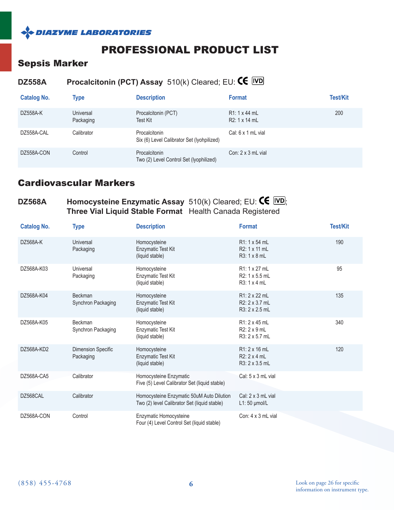

# PROFESSIONAL PRODUCT LIST

#### Sepsis Marker

## **DZ558A Procalcitonin (PCT) Assay** 510(k) Cleared; EU: CE **IVD**

| <b>Catalog No.</b> | <b>Type</b>            | <b>Description</b>                                          | <b>Format</b>                  | <b>Test/Kit</b> |
|--------------------|------------------------|-------------------------------------------------------------|--------------------------------|-----------------|
| DZ558A-K           | Universal<br>Packaging | Procalcitonin (PCT)<br>Test Kit                             | R1: 1 x 44 mL<br>R2: 1 x 14 mL | 200             |
| DZ558A-CAL         | Calibrator             | Procalcitonin<br>Six (6) Level Calibrator Set (Iyohpilized) | Cal: $6 \times 1$ mL vial      |                 |
| DZ558A-CON         | Control                | Procalcitonin<br>Two (2) Level Control Set (lyophilized)    | Con: $2 \times 3$ mL vial      |                 |

#### Cardiovascular Markers

#### **DZ568A Homocysteine Enzymatic Assay**  $510(k)$  Cleared; EU:  $\text{CE}$  I<sup>IVDJ</sup>; **Three Vial Liquid Stable Format** Health Canada Registered

| <b>Catalog No.</b> | <b>Type</b>                          | <b>Description</b>                                                                        | <b>Format</b>                                          | <b>Test/Kit</b> |
|--------------------|--------------------------------------|-------------------------------------------------------------------------------------------|--------------------------------------------------------|-----------------|
| DZ568A-K           | Universal<br>Packaging               | Homocysteine<br>Enzymatic Test Kit<br>(liquid stable)                                     | R1: 1 x 54 mL<br>R2: 1 x 11 mL<br>$R3:1 \times 8$ mL   | 190             |
| DZ568A-K03         | Universal<br>Packaging               | Homocysteine<br>Enzymatic Test Kit<br>(liquid stable)                                     | R1: 1 x 27 mL<br>R2: 1 x 5.5 mL<br>$R3:1 \times 4$ mL  | 95              |
| DZ568A-K04         | <b>Beckman</b><br>Synchron Packaging | Homocysteine<br>Enzymatic Test Kit<br>(liquid stable)                                     | R1: 2 x 22 mL<br>R2: 2 x 3.7 mL<br>R3: 2 x 2.5 mL      | 135             |
| DZ568A-K05         | Beckman<br>Synchron Packaging        | Homocysteine<br>Enzymatic Test Kit<br>(liquid stable)                                     | R1: 2 x 45 mL<br>$R2: 2 \times 9$ mL<br>R3: 2 x 5.7 mL | 340             |
| DZ568A-KD2         | Dimension Specific<br>Packaging      | Homocysteine<br>Enzymatic Test Kit<br>(liquid stable)                                     | R1: 2 x 16 mL<br>$R2: 2 \times 4$ mL<br>R3: 2 x 3.5 mL | 120             |
| DZ568A-CA5         | Calibrator                           | Homocysteine Enzymatic<br>Five (5) Level Calibrator Set (liquid stable)                   | Cal: 5 x 3 mL vial                                     |                 |
| DZ568CAL           | Calibrator                           | Homocysteine Enzymatic 50uM Auto Dilution<br>Two (2) level Calibrator Set (liquid stable) | Cal: $2 \times 3$ mL vial<br>$L1:50$ µmol/L            |                 |
| DZ568A-CON         | Control                              | Enzymatic Homocysteine<br>Four (4) Level Control Set (liquid stable)                      | Con: $4 \times 3$ mL vial                              |                 |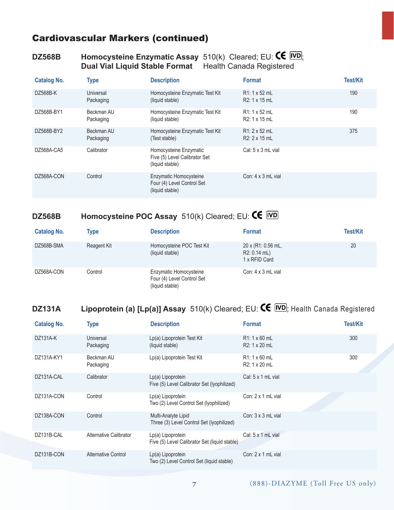#### **DZ568B Homocysteine Enzymatic Assay** 510(k) Cleared; EU:  $\text{CE}$   $\overline{\text{IVD}}$ ; **Dual Vial Liquid Stable Format** Health Canada Registered

| <b>Catalog No.</b> | <b>Type</b>             | <b>Description</b>                                                         | <b>Format</b>                               | <b>Test/Kit</b> |
|--------------------|-------------------------|----------------------------------------------------------------------------|---------------------------------------------|-----------------|
| DZ568B-K           | Universal<br>Packaging  | Homocysteine Enzymatic Test Kit<br>(liquid stable)                         | $R1:1 \times 52$ mL<br>R2: 1 x 15 mL        | 190             |
| DZ568B-BY1         | Beckman AU<br>Packaging | Homocysteine Enzymatic Test Kit<br>(liquid stable)                         | R1: 1 x 52 mL<br>R <sub>2</sub> : 1 x 15 mL | 190             |
| DZ568B-BY2         | Beckman AU<br>Packaging | Homocysteine Enzymatic Test Kit<br>(Test stable)                           | $R1: 2 \times 52$ mL<br>R2: 2 x 15 mL       | 375             |
| DZ568A-CA5         | Calibrator              | Homocysteine Enzymatic<br>Five (5) Level Calibrator Set<br>(liquid stable) | Cal: $5 \times 3$ mL vial                   |                 |
| DZ568A-CON         | Control                 | Enzymatic Homocysteine<br>Four (4) Level Control Set<br>(liquid stable)    | Con: $4 \times 3$ mL vial                   |                 |

## **DZ568B Homocysteine POC Assay** 510(k) Cleared; EU: CE IVD

| <b>Catalog No.</b> | <b>Type</b> | <b>Description</b>                                                      | <b>Format</b>                                         | <b>Test/Kit</b> |
|--------------------|-------------|-------------------------------------------------------------------------|-------------------------------------------------------|-----------------|
| DZ568B-SMA         | Reagent Kit | Homocysteine POC Test Kit<br>(liquid stable)                            | 20 x (R1: 0.56 mL,<br>$R2: 0.14$ mL)<br>1 x RFID Card | 20              |
| DZ568A-CON         | Control     | Enzymatic Homocysteine<br>Four (4) Level Control Set<br>(liquid stable) | Con: $4 \times 3$ mL vial                             |                 |

## **DZ131A** Lipoprotein (a) [Lp(a)] Assay 510(k) Cleared; EU:  $\text{CE}$  [VD]; Health Canada Registered

| <b>Catalog No.</b> | <b>Type</b>                | <b>Description</b>                                                 | <b>Format</b>                        | <b>Test/Kit</b> |
|--------------------|----------------------------|--------------------------------------------------------------------|--------------------------------------|-----------------|
| DZ131A-K           | Universal<br>Packaging     | Lp(a) Lipoprotein Test Kit<br>(liquid stable)                      | $R1:1 \times 60$ mL<br>R2: 1 x 20 mL | 300             |
| DZ131A-KY1         | Beckman AU<br>Packaging    | Lp(a) Lipoprotein Test Kit                                         | $R1:1 \times 60$ mL<br>R2: 1 x 20 mL | 300             |
| DZ131A-CAL         | Calibrator                 | $Lp(a)$ Lipoprotein<br>Five (5) Level Calibrator Set (Iyophilized) | Cal: $5 \times 1$ mL vial            |                 |
| DZ131A-CON         | Control                    | Lp(a) Lipoprotein<br>Two (2) Level Control Set (Iyophilized)       | Con: $2 \times 1$ mL vial            |                 |
| DZ138A-CON         | Control                    | Multi-Analyte Lipid<br>Three (3) Level Control Set (Iyophilized)   | Con: $3 \times 3$ mL vial            |                 |
| DZ131B-CAL         | Alternative Calibrator     | Lp(a) Lipoprotein<br>Five (5) Level Calibrator Set (liquid stable) | Cal: 5 x 1 mL vial                   |                 |
| DZ131B-CON         | <b>Alternative Control</b> | $Lp(a)$ Lipoprotein<br>Two (2) Level Control Set (liquid stable)   | Con: $2 \times 1$ mL vial            |                 |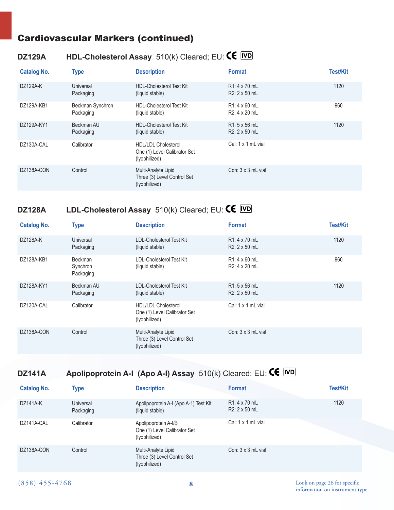## **DZ129A HDL-Cholesterol Assay** 510(k) Cleared; EU:

| <b>Catalog No.</b> | <b>Type</b>                   | <b>Description</b>                                                          | <b>Format</b>                         | <b>Test/Kit</b> |
|--------------------|-------------------------------|-----------------------------------------------------------------------------|---------------------------------------|-----------------|
| DZ129A-K           | Universal<br>Packaging        | <b>HDL-Cholesterol Test Kit</b><br>(liquid stable)                          | R1: 4 x 70 mL<br>$R2: 2 \times 50$ mL | 1120            |
| DZ129A-KB1         | Beckman Synchron<br>Packaging | <b>HDL-Cholesterol Test Kit</b><br>(liquid stable)                          | $R1:4 \times 60$ mL<br>R2: 4 x 20 mL  | 960             |
| DZ129A-KY1         | Beckman AU<br>Packaging       | <b>HDL-Cholesterol Test Kit</b><br>(liquid stable)                          | $R1:5 \times 56$ mL<br>R2: 2 x 50 mL  | 1120            |
| DZ130A-CAL         | Calibrator                    | <b>HDL/LDL Cholesterol</b><br>One (1) Level Calibrator Set<br>(lyophilized) | Cal: 1 x 1 mL vial                    |                 |
| DZ138A-CON         | Control                       | Multi-Analyte Lipid<br>Three (3) Level Control Set<br>(lyophilized)         | Con: $3 \times 3$ mL vial             |                 |

# **DZ128A LDL-Cholesterol Assay** 510(k) Cleared; EU:

| <b>Catalog No.</b> | <b>Type</b>                      | <b>Description</b>                                                          | <b>Format</b>                        | <b>Test/Kit</b> |
|--------------------|----------------------------------|-----------------------------------------------------------------------------|--------------------------------------|-----------------|
| DZ128A-K           | Universal<br>Packaging           | <b>LDL-Cholesterol Test Kit</b><br>(liquid stable)                          | $R1:4 \times 70$ mL<br>R2: 2 x 50 mL | 1120            |
| DZ128A-KB1         | Beckman<br>Synchron<br>Packaging | <b>LDL-Cholesterol Test Kit</b><br>(liquid stable)                          | $R1:4 \times 60$ mL<br>R2: 4 x 20 mL | 960             |
| DZ128A-KY1         | Beckman AU<br>Packaging          | <b>LDL-Cholesterol Test Kit</b><br>(liquid stable)                          | $R1:5 \times 56$ mL<br>R2: 2 x 50 mL | 1120            |
| DZ130A-CAL         | Calibrator                       | <b>HDL/LDL Cholesterol</b><br>One (1) Level Calibrator Set<br>(lyophilized) | Cal: 1 x 1 mL vial                   |                 |
| DZ138A-CON         | Control                          | Multi-Analyte Lipid<br>Three (3) Level Control Set<br>(lyophilized)         | Con: $3 \times 3$ mL vial            |                 |

# **DZ141A Apolipoprotein A-I (Apo A-I) Assay** 510(k) Cleared; EU: **CE** IVD

| <b>Catalog No.</b> | <b>Type</b>            | <b>Description</b>                                                    | <b>Format</b>                               | <b>Test/Kit</b> |
|--------------------|------------------------|-----------------------------------------------------------------------|---------------------------------------------|-----------------|
| DZ141A-K           | Universal<br>Packaging | Apolipoprotein A-I (Apo A-1) Test Kit<br>(liquid stable)              | $R1:4 \times 70$ mL<br>$R2: 2 \times 50$ mL | 1120            |
| DZ141A-CAL         | Calibrator             | Apolipoprotein A-I/B<br>One (1) Level Calibrator Set<br>(lyophilized) | Cal: $1 \times 1$ mL vial                   |                 |
| DZ138A-CON         | Control                | Multi-Analyte Lipid<br>Three (3) Level Control Set<br>(lyophilized)   | Con: $3 \times 3$ mL vial                   |                 |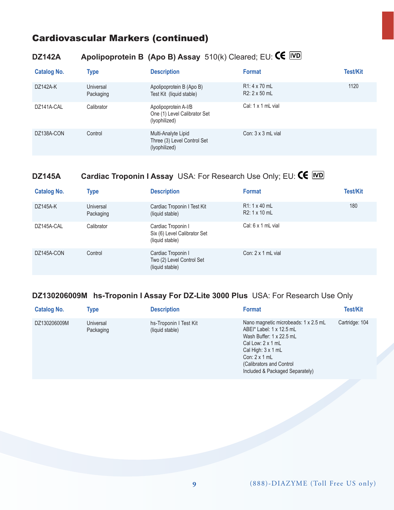## **DZ142A Apolipoprotein B (Apo B) Assay**  $510(k)$  Cleared; EU: **CE** *WD*

| <b>Catalog No.</b> | <b>Type</b>            | <b>Description</b>                                                    | <b>Format</b>                               | <b>Test/Kit</b> |
|--------------------|------------------------|-----------------------------------------------------------------------|---------------------------------------------|-----------------|
| DZ142A-K           | Universal<br>Packaging | Apolipoprotein B (Apo B)<br>Test Kit (liquid stable)                  | $R1:4 \times 70$ mL<br>$R2: 2 \times 50$ mL | 1120            |
| DZ141A-CAL         | Calibrator             | Apolipoprotein A-I/B<br>One (1) Level Calibrator Set<br>(lyophilized) | Cal: 1 x 1 mL vial                          |                 |
| DZ138A-CON         | Control                | Multi-Analyte Lipid<br>Three (3) Level Control Set<br>(lyophilized)   | Con: $3 \times 3$ mL vial                   |                 |

# **DZ145A Cardiac Troponin I Assay** USA: For Research Use Only; EU: CE IVD

| <b>Catalog No.</b> | <b>Type</b>            | <b>Description</b>                                                    | <b>Format</b>                               | <b>Test/Kit</b> |
|--------------------|------------------------|-----------------------------------------------------------------------|---------------------------------------------|-----------------|
| DZ145A-K           | Universal<br>Packaging | Cardiac Troponin I Test Kit<br>(liquid stable)                        | $R1:1 \times 40$ mL<br>$R2: 1 \times 10$ mL | 180             |
| DZ145A-CAL         | Calibrator             | Cardiac Troponin I<br>Six (6) Level Calibrator Set<br>(liquid stable) | Cal: $6 \times 1$ mL vial                   |                 |
| DZ145A-CON         | Control                | Cardiac Troponin I<br>Two (2) Level Control Set<br>(liquid stable)    | Con: $2 \times 1$ mL vial                   |                 |

#### **DZ130206009M hs-Troponin I Assay For DZ-Lite 3000 Plus** USA: For Research Use Only

| <b>Catalog No.</b> | Type                   | <b>Description</b>                        | <b>Format</b>                                                                                                                                                                                                                          | <b>Test/Kit</b> |
|--------------------|------------------------|-------------------------------------------|----------------------------------------------------------------------------------------------------------------------------------------------------------------------------------------------------------------------------------------|-----------------|
| DZ130206009M       | Universal<br>Packaging | hs-Troponin I Test Kit<br>(liquid stable) | Nano magnetic microbeads: 1 x 2.5 mL<br>ABEI* Label: 1 x 12.5 mL<br>Wash Buffer: 1 x 22.5 mL<br>Cal Low: $2 \times 1$ mL<br>Cal High: 3 x 1 mL<br>Con: $2 \times 1$ mL<br>(Calibrators and Control)<br>Included & Packaged Separately) | Cartridge: 104  |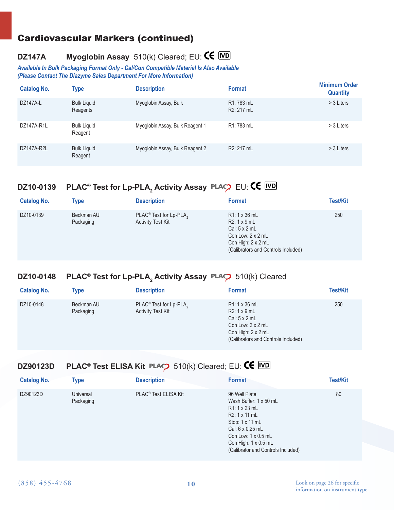## **DZ147A Myoglobin Assay** 510(k) Cleared; EU:

*Available In Bulk Packaging Format Only - Cal/Con Compatible Material Is Also Available (Please Contact The Diazyme Sales Department For More Information)*

| <b>Catalog No.</b> | <b>Type</b>                    | <b>Description</b>              | <b>Format</b>            | <b>Minimum Order</b><br><b>Quantity</b> |
|--------------------|--------------------------------|---------------------------------|--------------------------|-----------------------------------------|
| DZ147A-L           | <b>Bulk Liquid</b><br>Reagents | Myoglobin Assay, Bulk           | R1: 783 mL<br>R2: 217 mL | > 3 Liters                              |
| DZ147A-R1L         | <b>Bulk Liguid</b><br>Reagent  | Myoglobin Assay, Bulk Reagent 1 | R1: 783 mL               | > 3 Liters                              |
| DZ147A-R2L         | <b>Bulk Liquid</b><br>Reagent  | Myoglobin Assay, Bulk Reagent 2 | R2: 217 mL               | > 3 Liters                              |

## **DZ10-0139 PLAC® Test for Lp-PLA2 Activity Assay** ®EU:

| <b>Catalog No.</b> | <b>Type</b>             | <b>Description</b>                                                         | <b>Format</b>                                                                                                                                             | <b>Test/Kit</b> |
|--------------------|-------------------------|----------------------------------------------------------------------------|-----------------------------------------------------------------------------------------------------------------------------------------------------------|-----------------|
| DZ10-0139          | Beckman AU<br>Packaging | PLAC <sup>®</sup> Test for Lp-PLA <sub>2</sub><br><b>Activity Test Kit</b> | $R1:1 \times 36$ mL<br>$R2:1 \times 9mL$<br>Cal: $5 \times 2$ mL<br>Con Low: $2 \times 2$ mL<br>Con High: 2 x 2 mL<br>(Calibrators and Controls Included) | 250             |

## **DZ10-0148 PLAC® Test for Lp-PLA<sub>2</sub> Activity Assay PLAC2** 510(k) Cleared

| <b>Catalog No.</b> | Type                    | <b>Description</b>                                                         | <b>Format</b>                                                                                                                                       | <b>Test/Kit</b> |
|--------------------|-------------------------|----------------------------------------------------------------------------|-----------------------------------------------------------------------------------------------------------------------------------------------------|-----------------|
| DZ10-0148          | Beckman AU<br>Packaging | PLAC <sup>®</sup> Test for Lp-PLA <sub>2</sub><br><b>Activity Test Kit</b> | R1: 1 x 36 mL<br>$R2:1 \times 9mL$<br>Cal: $5 \times 2$ mL<br>Con Low: $2 \times 2$ mL<br>Con High: 2 x 2 mL<br>(Calibrators and Controls Included) | 250             |

#### **DZ90123D PLAC<sup>®</sup> Test ELISA Kit PLAC** 510(k) Cleared; EU: **CE** IVD

| <b>Catalog No.</b> | Type                   | <b>Description</b>               | <b>Format</b>                                                                                                                                                                                                             | <b>Test/Kit</b> |
|--------------------|------------------------|----------------------------------|---------------------------------------------------------------------------------------------------------------------------------------------------------------------------------------------------------------------------|-----------------|
| DZ90123D           | Universal<br>Packaging | PLAC <sup>®</sup> Test ELISA Kit | 96 Well Plate<br>Wash Buffer: 1 x 50 mL<br>$R1:1 \times 23$ mL<br>R2: 1 x 11 mL<br>Stop: 1 x 11 mL<br>Cal: 6 x 0.25 mL<br>Con Low: $1 \times 0.5$ mL<br>Con High: $1 \times 0.5$ mL<br>(Calibrator and Controls Included) | 80              |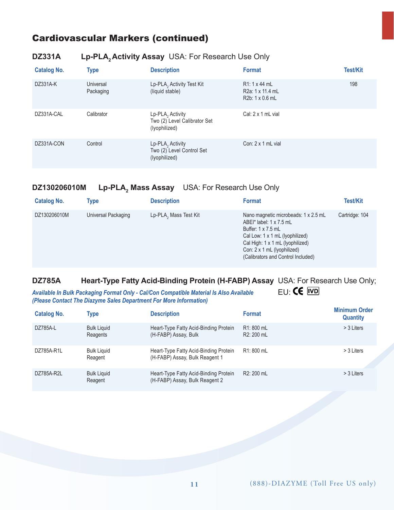#### **DZ331A Lp-PLA, Activity Assay** USA: For Research Use Only

| <b>Catalog No.</b> | <b>Type</b>            | <b>Description</b>                                                            | <b>Format</b>                                                           | Test/Kit |
|--------------------|------------------------|-------------------------------------------------------------------------------|-------------------------------------------------------------------------|----------|
| DZ331A-K           | Universal<br>Packaging | Lp-PLA, Activity Test Kit<br>(liquid stable)                                  | $R1:1 \times 44$ mL<br>R <sub>2</sub> a: 1 x 11.4 mL<br>R2b: 1 x 0.6 mL | 198      |
| DZ331A-CAL         | Calibrator             | Lp-PLA <sub>2</sub> Activity<br>Two (2) Level Calibrator Set<br>(lyophilized) | Cal: 2 x 1 mL vial                                                      |          |
| DZ331A-CON         | Control                | $Lp$ -PLA <sub>2</sub> Activity<br>Two (2) Level Control Set<br>(lyophilized) | Con: $2 \times 1$ mL vial                                               |          |

#### **DZ130206010M Lp-PLA2** Lp-PLA, Mass Assay USA: For Research Use Only

| <b>Catalog No.</b> | Type                | <b>Description</b>    | <b>Format</b>                                                                                                                                                                                                                            | Test/Kit       |
|--------------------|---------------------|-----------------------|------------------------------------------------------------------------------------------------------------------------------------------------------------------------------------------------------------------------------------------|----------------|
| DZ130206010M       | Universal Packaging | Lp-PLA, Mass Test Kit | Nano magnetic microbeads: 1 x 2.5 mL<br>ABEI* label: 1 x 7.5 mL<br>Buffer: $1 \times 7.5$ mL<br>Cal Low: 1 x 1 mL (lyophilized)<br>Cal High: 1 x 1 mL (lyophilized)<br>Con: 2 x 1 mL (lyophilized)<br>(Calibrators and Control Included) | Cartridge: 104 |

# **DZ785A Heart-Type Fatty Acid-Binding Protein (H-FABP) Assay** USA: For Research Use Only;<br>Available In Bulk Packaging Format Only - Cal/Con Compatible Material Is Also Available EU: **CE** ND

Available In Bulk Packaging Format Only - Cal/Con Compatible Material Is Also Available *(Please Contact The Diazyme Sales Department For More Information)*

| <b>Catalog No.</b> | <b>Type</b>                    | <b>Description</b>                                                      | <b>Format</b>                         | <b>Minimum Order</b><br><b>Quantity</b> |
|--------------------|--------------------------------|-------------------------------------------------------------------------|---------------------------------------|-----------------------------------------|
| DZ785A-L           | <b>Bulk Liquid</b><br>Reagents | Heart-Type Fatty Acid-Binding Protein<br>(H-FABP) Assay, Bulk           | R1: 800 mL<br>R <sub>2</sub> : 200 mL | > 3 Liters                              |
| DZ785A-R1L         | <b>Bulk Liquid</b><br>Reagent  | Heart-Type Fatty Acid-Binding Protein<br>(H-FABP) Assay, Bulk Reagent 1 | R1: 800 mL                            | > 3 Liters                              |
| DZ785A-R2L         | <b>Bulk Liquid</b><br>Reagent  | Heart-Type Fatty Acid-Binding Protein<br>(H-FABP) Assay, Bulk Reagent 2 | R2: 200 mL                            | > 3 Liters                              |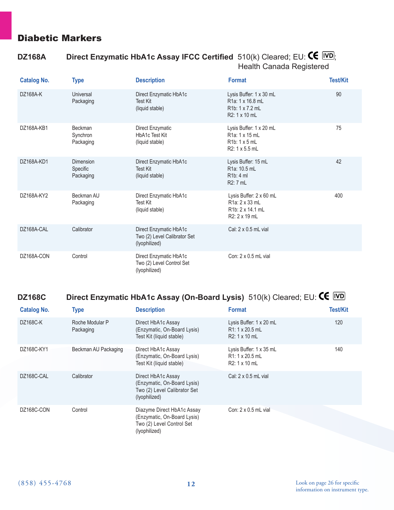#### Diabetic Markers

#### **DZ168A** Direct Enzymatic HbA1c Assay IFCC Certified  $510(k)$  Cleared; EU:  $\text{CE}$   $\overline{[VD]}$ ; Health Canada Registered

| <b>Catalog No.</b> | <b>Type</b>                        | <b>Description</b>                                                      | <b>Format</b>                                                                                             | <b>Test/Kit</b> |
|--------------------|------------------------------------|-------------------------------------------------------------------------|-----------------------------------------------------------------------------------------------------------|-----------------|
| DZ168A-K           | Universal<br>Packaging             | Direct Enzymatic HbA1c<br><b>Test Kit</b><br>(liquid stable)            | Lysis Buffer: 1 x 30 mL<br>R <sub>1</sub> a: 1 x 16.8 mL<br>R <sub>1</sub> b: 1 x 7.2 mL<br>R2: 1 x 10 mL | 90              |
| DZ168A-KB1         | Beckman<br>Synchron<br>Packaging   | Direct Enzymatic<br><b>HbA1c Test Kit</b><br>(liquid stable)            | Lysis Buffer: 1 x 20 mL<br>R <sub>1</sub> a: 1 x 15 mL<br>$R1b: 1 \times 5mL$<br>R2: 1 x 5.5 mL           | 75              |
| DZ168A-KD1         | Dimension<br>Specific<br>Packaging | Direct Enzymatic HbA1c<br><b>Test Kit</b><br>(liquid stable)            | Lysis Buffer: 15 mL<br>R <sub>1</sub> a: 10.5 mL<br>R <sub>1</sub> b: 4 ml<br>R2: 7 mL                    | 42              |
| DZ168A-KY2         | Beckman AU<br>Packaging            | Direct Enzymatic HbA1c<br><b>Test Kit</b><br>(liquid stable)            | Lysis Buffer: 2 x 60 mL<br>R1a: 2 x 33 mL<br>R <sub>1</sub> b: 2 x 14.1 mL<br>R2: 2 x 19 mL               | 400             |
| DZ168A-CAL         | Calibrator                         | Direct Enzymatic HbA1c<br>Two (2) Level Calibrator Set<br>(lyophilized) | Cal: 2 x 0.5 mL vial                                                                                      |                 |
| DZ168A-CON         | Control                            | Direct Enzymatic HbA1c<br>Two (2) Level Control Set<br>(lyophilized)    | Con: 2 x 0.5 mL vial                                                                                      |                 |

## **DZ168C Direct Enzymatic HbA1c Assay (On-Board Lysis)**  $510(k)$  Cleared; EU: **CE** *VD*

| <b>Catalog No.</b> | <b>Type</b>                  | <b>Description</b>                                                                                      | <b>Format</b>                                                     | <b>Test/Kit</b> |
|--------------------|------------------------------|---------------------------------------------------------------------------------------------------------|-------------------------------------------------------------------|-----------------|
| DZ168C-K           | Roche Modular P<br>Packaging | Direct HbA1c Assay<br>(Enzymatic, On-Board Lysis)<br>Test Kit (liquid stable)                           | Lysis Buffer: 1 x 20 mL<br>$R1:1 \times 20.5$ mL<br>R2: 1 x 10 mL | 120             |
| DZ168C-KY1         | Beckman AU Packaging         | Direct HbA1c Assay<br>(Enzymatic, On-Board Lysis)<br>Test Kit (liquid stable)                           | Lysis Buffer: 1 x 35 mL<br>$R1:1 \times 20.5$ mL<br>R2: 1 x 10 mL | 140             |
| DZ168C-CAL         | Calibrator                   | Direct HbA1c Assay<br>(Enzymatic, On-Board Lysis)<br>Two (2) Level Calibrator Set<br>(lyophilized)      | Cal: $2 \times 0.5$ mL vial                                       |                 |
| DZ168C-CON         | Control                      | Diazyme Direct HbA1c Assay<br>(Enzymatic, On-Board Lysis)<br>Two (2) Level Control Set<br>(lyophilized) | Con: $2 \times 0.5$ mL vial                                       |                 |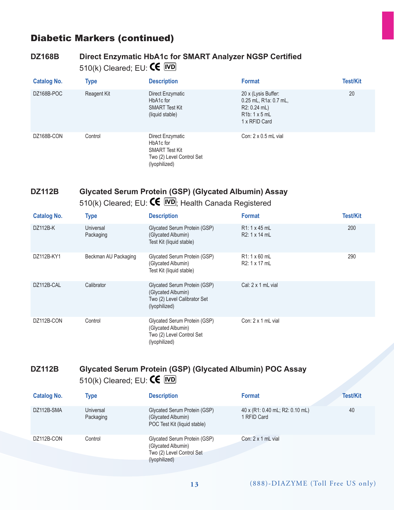#### Diabetic Markers (continued)

#### **DZ168B Direct Enzymatic HbA1c for SMART Analyzer NGSP Certified** 510(k) Cleared; EU: CE IVD

| <b>Catalog No.</b> | <b>Type</b> | <b>Description</b>                                                                                   | <b>Format</b>                                                                                          | <b>Test/Kit</b> |
|--------------------|-------------|------------------------------------------------------------------------------------------------------|--------------------------------------------------------------------------------------------------------|-----------------|
| DZ168B-POC         | Reagent Kit | Direct Enzymatic<br>HbA1c for<br><b>SMART Test Kit</b><br>(liquid stable)                            | 20 x (Lysis Buffer:<br>0.25 mL, R1a: 0.7 mL,<br>$R2: 0.24$ mL)<br>$R1b: 1 \times 5mL$<br>1 x RFID Card | 20              |
| DZ168B-CON         | Control     | Direct Enzymatic<br>HbA1c for<br><b>SMART Test Kit</b><br>Two (2) Level Control Set<br>(lyophilized) | Con: $2 \times 0.5$ mL vial                                                                            |                 |

#### **DZ112B Glycated Serum Protein (GSP) (Glycated Albumin) Assay**  510(k) Cleared; EU:  $\textsf{CE}$   $\overline{\textsf{WD}}$ ; Health Canada Registered

| <b>Catalog No.</b> | <b>Type</b>            | <b>Description</b>                                                                                  | <b>Format</b>                               | <b>Test/Kit</b> |
|--------------------|------------------------|-----------------------------------------------------------------------------------------------------|---------------------------------------------|-----------------|
| DZ112B-K           | Universal<br>Packaging | Glycated Serum Protein (GSP)<br>(Glycated Albumin)<br>Test Kit (liquid stable)                      | R <sub>1</sub> : 1 x 45 mL<br>R2: 1 x 14 mL | 200             |
| DZ112B-KY1         | Beckman AU Packaging   | Glycated Serum Protein (GSP)<br>(Glycated Albumin)<br>Test Kit (liquid stable)                      | $R1:1 \times 60$ mL<br>R2: 1 x 17 mL        | 290             |
| DZ112B-CAL         | Calibrator             | Glycated Serum Protein (GSP)<br>(Glycated Albumin)<br>Two (2) Level Calibrator Set<br>(lyophilized) | Cal: $2 \times 1$ mL vial                   |                 |
| DZ112B-CON         | Control                | Glycated Serum Protein (GSP)<br>(Glycated Albumin)<br>Two (2) Level Control Set<br>(lyophilized)    | Con: $2 \times 1$ mL vial                   |                 |

#### **DZ112B Glycated Serum Protein (GSP) (Glycated Albumin) POC Assay**  510(k) Cleared; EU:  $\mathsf{CE}$  IVD

| <b>Catalog No.</b> | Type                   | <b>Description</b>                                                                               | <b>Format</b>                                  | <b>Test/Kit</b> |
|--------------------|------------------------|--------------------------------------------------------------------------------------------------|------------------------------------------------|-----------------|
| DZ112B-SMA         | Universal<br>Packaging | Glycated Serum Protein (GSP)<br>(Glycated Albumin)<br>POC Test Kit (liquid stable)               | 40 x (R1: 0.40 mL; R2: 0.10 mL)<br>1 RFID Card | 40              |
| DZ112B-CON         | Control                | Glycated Serum Protein (GSP)<br>(Glycated Albumin)<br>Two (2) Level Control Set<br>(lyophilized) | Con: $2 \times 1$ mL vial                      |                 |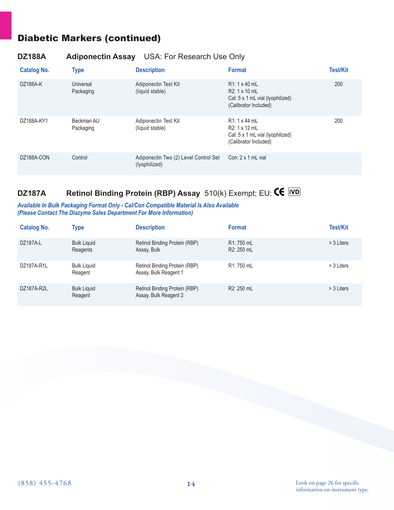## Diabetic Markers (continued)

#### **DZ188A Adiponectin Assay** USA: For Research Use Only

| <b>Catalog No.</b> | <b>Type</b>             | <b>Description</b>                                     | <b>Format</b>                                                                                      | <b>Test/Kit</b> |
|--------------------|-------------------------|--------------------------------------------------------|----------------------------------------------------------------------------------------------------|-----------------|
| DZ188A-K           | Universal<br>Packaging  | Adiponectin Test Kit<br>(liquid stable)                | $R1:1 \times 40$ ml<br>R2: 1 x 10 mL<br>Cal: 5 x 1 mL vial (lyophilized)<br>(Calibrator Included)  | 200             |
| DZ188A-KY1         | Beckman AU<br>Packaging | Adiponectin Test Kit<br>(liquid stable)                | R1: 1 x 44 mL<br>R2: 1 x 12 mL<br>Cal: $5 \times 1$ mL vial (Ivophilized)<br>(Calibrator Included) | 200             |
| DZ188A-CON         | Control                 | Adiponectin Two (2) Level Control Set<br>(lyophilized) | Con: $2 \times 1$ mL vial                                                                          |                 |

# **DZ187A Retinol Binding Protein (RBP) Assay** 510(k) Exempt; EU: CE IVD

#### *Available In Bulk Packaging Format Only - Cal/Con Compatible Material Is Also Available (Please Contact The Diazyme Sales Department For More Information)*

| <b>Catalog No.</b> | <b>Type</b>                    | <b>Description</b>                                     | <b>Format</b>            | Test/Kit   |
|--------------------|--------------------------------|--------------------------------------------------------|--------------------------|------------|
| DZ187A-L           | <b>Bulk Liquid</b><br>Reagents | Retinol Binding Protein (RBP)<br>Assay, Bulk           | R1: 750 mL<br>R2: 250 mL | > 3 Liters |
| DZ187A-R1L         | <b>Bulk Liquid</b><br>Reagent  | Retinol Binding Protein (RBP)<br>Assay, Bulk Reagent 1 | R1: 750 mL               | > 3 Liters |
| DZ187A-R2L         | <b>Bulk Liquid</b><br>Reagent  | Retinol Binding Protein (RBP)<br>Assay, Bulk Reagent 2 | R2: 250 mL               | > 3 Liters |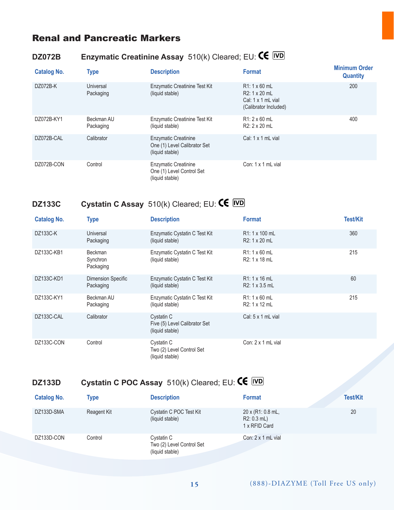#### Renal and Pancreatic Markers

## **DZ072B Enzymatic Creatinine Assay** 510(k) Cleared; EU: **CE** IVD

| <b>Catalog No.</b> | <b>Type</b>             | <b>Description</b>                                                             | <b>Format</b>                                                                              | <b>Minimum Order</b><br><b>Quantity</b> |
|--------------------|-------------------------|--------------------------------------------------------------------------------|--------------------------------------------------------------------------------------------|-----------------------------------------|
| DZ072B-K           | Universal<br>Packaging  | Enzymatic Creatinine Test Kit<br>(liquid stable)                               | $R1:1 \times 60$ mL<br>R2: 1 x 20 mL<br>Cal: $1 \times 1$ mL vial<br>(Calibrator Included) | 200                                     |
| DZ072B-KY1         | Beckman AU<br>Packaging | Enzymatic Creatinine Test Kit<br>(liquid stable)                               | $R1:2 \times 60$ mL<br>R2: 2 x 20 mL                                                       | 400                                     |
| DZ072B-CAL         | Calibrator              | <b>Enzymatic Creatinine</b><br>One (1) Level Calibrator Set<br>(liquid stable) | Cal: $1 \times 1$ mL vial                                                                  |                                         |
| DZ072B-CON         | Control                 | <b>Enzymatic Creatinine</b><br>One (1) Level Control Set<br>(liquid stable)    | Con: $1 \times 1$ mL vial                                                                  |                                         |

# **DZ133C Cystatin C Assay** 510(k) Cleared; EU:

| <b>Catalog No.</b> | <b>Type</b>                             | <b>Description</b>                                             | <b>Format</b>                        | <b>Test/Kit</b> |
|--------------------|-----------------------------------------|----------------------------------------------------------------|--------------------------------------|-----------------|
| DZ133C-K           | Universal<br>Packaging                  | Enzymatic Cystatin C Test Kit<br>(liquid stable)               | R1: 1 x 100 mL<br>R2: 1 x 20 mL      | 360             |
| DZ133C-KB1         | <b>Beckman</b><br>Synchron<br>Packaging | Enzymatic Cystatin C Test Kit<br>(liquid stable)               | $R1:1 \times 60$ mL<br>R2: 1 x 18 mL | 215             |
| DZ133C-KD1         | Dimension Specific<br>Packaging         | Enzymatic Cystatin C Test Kit<br>(liquid stable)               | R1: 1 x 16 mL<br>R2: 1 x 3.5 mL      | 60              |
| DZ133C-KY1         | Beckman AU<br>Packaging                 | Enzymatic Cystatin C Test Kit<br>(liquid stable)               | $R1:1 \times 60$ mL<br>R2: 1 x 12 mL | 215             |
| DZ133C-CAL         | Calibrator                              | Cystatin C<br>Five (5) Level Calibrator Set<br>(liquid stable) | Cal: 5 x 1 mL vial                   |                 |
| DZ133C-CON         | Control                                 | Cystatin C<br>Two (2) Level Control Set<br>(liquid stable)     | Con: $2 \times 1$ mL vial            |                 |

# **DZ133D Cystatin C POC Assay** 510(k) Cleared; EU: **CE** IVD

| <b>Catalog No.</b> | Type        | <b>Description</b>                                         | <b>Format</b>                                                     | <b>Test/Kit</b> |
|--------------------|-------------|------------------------------------------------------------|-------------------------------------------------------------------|-----------------|
| DZ133D-SMA         | Reagent Kit | Cystatin C POC Test Kit<br>(liquid stable)                 | $20 \times (R1:0.8 \text{ mL})$<br>$R2: 0.3$ mL)<br>1 x RFID Card | 20              |
| DZ133D-CON         | Control     | Cystatin C<br>Two (2) Level Control Set<br>(liquid stable) | Con: $2 \times 1$ mL vial                                         |                 |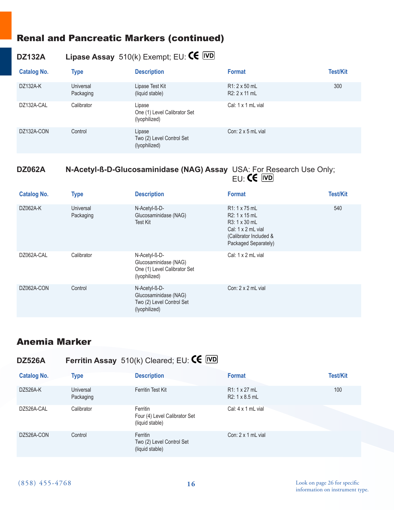#### Renal and Pancreatic Markers (continued)

## **DZ132A Lipase Assay** 510(k) Exempt; EU:

| <b>Catalog No.</b> | <b>Type</b>            | <b>Description</b>                                      | <b>Format</b>                         | <b>Test/Kit</b> |
|--------------------|------------------------|---------------------------------------------------------|---------------------------------------|-----------------|
| DZ132A-K           | Universal<br>Packaging | Lipase Test Kit<br>(liquid stable)                      | $R1: 2 \times 50$ mL<br>R2: 2 x 11 mL | 300             |
| DZ132A-CAL         | Calibrator             | Lipase<br>One (1) Level Calibrator Set<br>(lyophilized) | Cal: $1 \times 1$ mL vial             |                 |
| DZ132A-CON         | Control                | Lipase<br>Two (2) Level Control Set<br>(lyophilized)    | Con: $2 \times 5$ mL vial             |                 |

#### **DZ062A N-Acetyl-ß-D-Glucosaminidase (NAG) Assay** USA: For Research Use Only; en de la construction de la construction de la construction de la construction de la construction de la constr

| <b>Catalog No.</b> | <b>Type</b>            | <b>Description</b>                                                                      | <b>Format</b>                                                                                                                        | <b>Test/Kit</b> |
|--------------------|------------------------|-----------------------------------------------------------------------------------------|--------------------------------------------------------------------------------------------------------------------------------------|-----------------|
| DZ062A-K           | Universal<br>Packaging | N-Acetyl-ß-D-<br>Glucosaminidase (NAG)<br><b>Test Kit</b>                               | R <sub>1</sub> : 1 x 75 mL<br>R2: 1 x 15 mL<br>R3: 1 x 30 mL<br>Cal: 1 x 2 mL vial<br>(Calibrator Included &<br>Packaged Separately) | 540             |
| DZ062A-CAL         | Calibrator             | N-Acetyl-ß-D-<br>Glucosaminidase (NAG)<br>One (1) Level Calibrator Set<br>(lyophilized) | Cal: $1 \times 2$ mL vial                                                                                                            |                 |
| DZ062A-CON         | Control                | N-Acetyl-ß-D-<br>Glucosaminidase (NAG)<br>Two (2) Level Control Set<br>(lyophilized)    | Con: $2 \times 2$ mL vial                                                                                                            |                 |

#### Anemia Marker

| <b>DZ526A</b>      |                        | Ferritin Assay $510(k)$ Cleared; EU: $\mathsf{CE}$ IVD       |                                              |                 |
|--------------------|------------------------|--------------------------------------------------------------|----------------------------------------------|-----------------|
| <b>Catalog No.</b> | <b>Type</b>            | <b>Description</b>                                           | <b>Format</b>                                | <b>Test/Kit</b> |
| DZ526A-K           | Universal<br>Packaging | Ferritin Test Kit                                            | R <sub>1</sub> : 1 x 27 mL<br>R2: 1 x 8.5 mL | 100             |
| DZ526A-CAL         | Calibrator             | Ferritin<br>Four (4) Level Calibrator Set<br>(liquid stable) | Cal: $4 \times 1$ mL vial                    |                 |
| DZ526A-CON         | Control                | Ferritin<br>Two (2) Level Control Set<br>(liquid stable)     | Con: $2 \times 1$ mL vial                    |                 |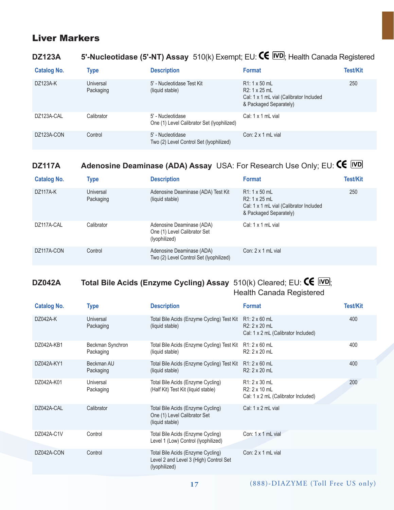### Liver Markers

#### **DZ123A 5'-Nucleotidase (5'-NT) Assay** 510(k) Exempt; EU: **CE IVD**; Health Canada Registered

| <b>Catalog No.</b> | <b>Type</b>            | <b>Description</b>                                              | <b>Format</b>                                                                                             | <b>Test/Kit</b> |
|--------------------|------------------------|-----------------------------------------------------------------|-----------------------------------------------------------------------------------------------------------|-----------------|
| DZ123A-K           | Universal<br>Packaging | 5' - Nucleotidase Test Kit<br>(liquid stable)                   | $R1:1 \times 50$ mL<br>R2: 1 x 25 mL<br>Cal: 1 x 1 mL vial (Calibrator Included<br>& Packaged Separately) | 250             |
| DZ123A-CAL         | Calibrator             | 5' - Nucleotidase<br>One (1) Level Calibrator Set (Iyophilized) | Cal: 1 x 1 mL vial                                                                                        |                 |
| DZ123A-CON         | Control                | 5' - Nucleotidase<br>Two (2) Level Control Set (Iyophilized)    | Con: $2 \times 1$ mL vial                                                                                 |                 |

# **DZ117A** Adenosine Deaminase (ADA) Assay USA: For Research Use Only; EU: CE IVD

| <b>Catalog No.</b> | <b>Type</b>                   | <b>Description</b>                                                         | <b>Format</b>                                                                                             | <b>Test/Kit</b> |
|--------------------|-------------------------------|----------------------------------------------------------------------------|-----------------------------------------------------------------------------------------------------------|-----------------|
| DZ117A-K           | <b>Universal</b><br>Packaging | Adenosine Deaminase (ADA) Test Kit<br>(liquid stable)                      | $R1:1 \times 50$ mL<br>R2: 1 x 25 mL<br>Cal: 1 x 1 mL vial (Calibrator Included<br>& Packaged Separately) | 250             |
| DZ117A-CAL         | Calibrator                    | Adenosine Deaminase (ADA)<br>One (1) Level Calibrator Set<br>(lyophilized) | Cal: 1 x 1 mL vial                                                                                        |                 |
| DZ117A-CON         | Control                       | Adenosine Deaminase (ADA)<br>Two (2) Level Control Set (Iyophilized)       | Con: $2 \times 1$ mL vial                                                                                 |                 |

#### **DZ042A** Total Bile Acids (Enzyme Cycling) Assay  $510(k)$  Cleared; EU:  $\text{CE}$   $\overline{[VD]}$ ; Health Canada Registered

| <b>Catalog No.</b> | Type                          | <b>Description</b>                                                                           | <b>Format</b>                                                                | <b>Test/Kit</b> |
|--------------------|-------------------------------|----------------------------------------------------------------------------------------------|------------------------------------------------------------------------------|-----------------|
| DZ042A-K           | Universal<br>Packaging        | Total Bile Acids (Enzyme Cycling) Test Kit<br>(liquid stable)                                | $R1:2\times 60$ mL<br>R2: 2 x 20 mL<br>Cal: 1 x 2 mL (Calibrator Included)   | 400             |
| DZ042A-KB1         | Beckman Synchron<br>Packaging | Total Bile Acids (Enzyme Cycling) Test Kit<br>(liquid stable)                                | $R1: 2 \times 60$ mL<br>R2: 2 x 20 mL                                        | 400             |
| DZ042A-KY1         | Beckman AU<br>Packaging       | Total Bile Acids (Enzyme Cycling) Test Kit<br>(liquid stable)                                | $R1: 2 \times 60$ mL<br>R2: 2 x 20 mL                                        | 400             |
| DZ042A-K01         | Universal<br>Packaging        | Total Bile Acids (Enzyme Cycling)<br>(Half Kit) Test Kit (liquid stable)                     | $R1: 2 \times 30$ mL<br>R2: 2 x 10 mL<br>Cal: 1 x 2 mL (Calibrator Included) | 200             |
| DZ042A-CAL         | Calibrator                    | Total Bile Acids (Enzyme Cycling)<br>One (1) Level Calibrator Set<br>(liquid stable)         | Cal: $1 \times 2$ mL vial                                                    |                 |
| DZ042A-C1V         | Control                       | Total Bile Acids (Enzyme Cycling)<br>Level 1 (Low) Control (Iyophilized)                     | Con: 1 x 1 mL vial                                                           |                 |
| DZ042A-CON         | Control                       | Total Bile Acids (Enzyme Cycling)<br>Level 2 and Level 3 (High) Control Set<br>(lyophilized) | Con: $2 \times 1$ mL vial                                                    |                 |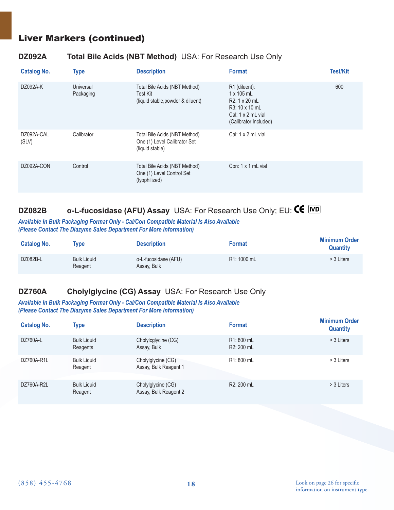#### Liver Markers (continued)

#### **DZ092A Total Bile Acids (NBT Method)** USA: For Research Use Only

| <b>Catalog No.</b>  | <b>Type</b>            | <b>Description</b>                                                               | <b>Format</b>                                                                                                               | <b>Test/Kit</b> |
|---------------------|------------------------|----------------------------------------------------------------------------------|-----------------------------------------------------------------------------------------------------------------------------|-----------------|
| DZ092A-K            | Universal<br>Packaging | Total Bile Acids (NBT Method)<br>Test Kit<br>(liquid stable, powder & diluent)   | R1 (diluent):<br>$1 \times 105$ mL<br>R2: 1 x 20 mL<br>R3: 10 x 10 mL<br>Cal: $1 \times 2$ mL vial<br>(Calibrator Included) | 600             |
| DZ092A-CAL<br>(SLV) | Calibrator             | Total Bile Acids (NBT Method)<br>One (1) Level Calibrator Set<br>(liquid stable) | Cal: $1 \times 2$ mL vial                                                                                                   |                 |
| DZ092A-CON          | Control                | Total Bile Acids (NBT Method)<br>One (1) Level Control Set<br>(lyophilized)      | Con: 1 x 1 mL vial                                                                                                          |                 |

# **DZ082B α-L-fucosidase (AFU) Assay** USA: For Research Use Only; EU:

#### *Available In Bulk Packaging Format Only - Cal/Con Compatible Material Is Also Available (Please Contact The Diazyme Sales Department For More Information)*

| <b>Catalog No.</b> | Type                          | <b>Description</b>                  | <b>Format</b> | <b>Minimum Order</b><br><b>Quantity</b> |
|--------------------|-------------------------------|-------------------------------------|---------------|-----------------------------------------|
| DZ082B-L           | <b>Bulk Liguid</b><br>Reagent | α-L-fucosidase (AFU)<br>Assay, Bulk | R1: 1000 mL   | > 3 Liters                              |

#### **DZ760A Cholylglycine (CG) Assay** USA: For Research Use Only

#### *Available In Bulk Packaging Format Only - Cal/Con Compatible Material Is Also Available (Please Contact The Diazyme Sales Department For More Information)*

| <b>Catalog No.</b> | Type                           | <b>Description</b>                          | <b>Format</b>                         | <b>Minimum Order</b><br><b>Quantity</b> |
|--------------------|--------------------------------|---------------------------------------------|---------------------------------------|-----------------------------------------|
| DZ760A-L           | <b>Bulk Liquid</b><br>Reagents | Cholylcglycine (CG)<br>Assay, Bulk          | R1: 800 mL<br>R <sub>2</sub> : 200 mL | > 3 Liters                              |
| DZ760A-R1L         | <b>Bulk Liguid</b><br>Reagent  | Cholylglycine (CG)<br>Assay, Bulk Reagent 1 | R1: 800 mL                            | > 3 Liters                              |
| DZ760A-R2L         | <b>Bulk Liquid</b><br>Reagent  | Cholylglycine (CG)<br>Assay, Bulk Reagent 2 | R <sub>2</sub> : 200 mL               | > 3 Liters                              |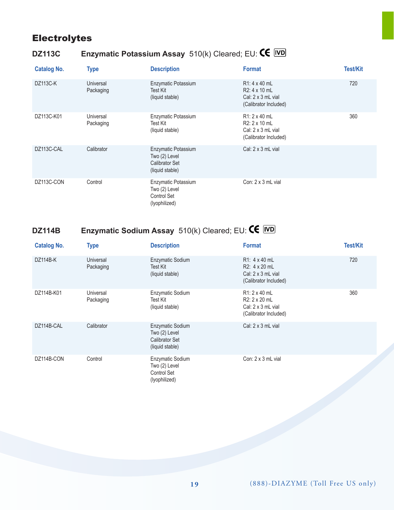## **Electrolytes**

# **DZ113C Enzymatic Potassium Assay** 510(k) Cleared; EU:

| <b>Catalog No.</b> | <b>Type</b>            | <b>Description</b>                                                               | <b>Format</b>                                                                               | <b>Test/Kit</b> |
|--------------------|------------------------|----------------------------------------------------------------------------------|---------------------------------------------------------------------------------------------|-----------------|
| <b>DZ113C-K</b>    | Universal<br>Packaging | Enzymatic Potassium<br>Test Kit<br>(liquid stable)                               | $R1: 4 \times 40$ mL<br>R2: 4 x 10 mL<br>Cal: $2 \times 3$ mL vial<br>(Calibrator Included) | 720             |
| DZ113C-K01         | Universal<br>Packaging | Enzymatic Potassium<br>Test Kit<br>(liquid stable)                               | R1: 2 x 40 mL<br>R2: 2 x 10 mL<br>Cal: $2 \times 3$ mL vial<br>(Calibrator Included)        | 360             |
| DZ113C-CAL         | Calibrator             | Enzymatic Potassium<br>Two (2) Level<br><b>Calibrator Set</b><br>(liquid stable) | Cal: $2 \times 3$ mL vial                                                                   |                 |
| DZ113C-CON         | Control                | Enzymatic Potassium<br>Two (2) Level<br>Control Set<br>(lyophilized)             | Con: $2 \times 3$ mL vial                                                                   |                 |

# **DZ114B Enzymatic Sodium Assay** 510(k) Cleared; EU: **CE** *WD*

| <b>Catalog No.</b> | <b>Type</b>            | <b>Description</b>                                                            | <b>Format</b>                                                                              | <b>Test/Kit</b> |
|--------------------|------------------------|-------------------------------------------------------------------------------|--------------------------------------------------------------------------------------------|-----------------|
| <b>DZ114B-K</b>    | Universal<br>Packaging | Enzymatic Sodium<br>Test Kit<br>(liquid stable)                               | R1: 4 x 40 mL<br>R2: 4 x 20 mL<br>Cal: $2 \times 3$ mL vial<br>(Calibrator Included)       | 720             |
| DZ114B-K01         | Universal<br>Packaging | Enzymatic Sodium<br>Test Kit<br>(liquid stable)                               | $R1:2 \times 40$ mL<br>R2: 2 x 20 mL<br>Cal: $2 \times 3$ mL vial<br>(Calibrator Included) | 360             |
| DZ114B-CAL         | Calibrator             | Enzymatic Sodium<br>Two (2) Level<br><b>Calibrator Set</b><br>(liquid stable) | Cal: $2 \times 3$ mL vial                                                                  |                 |
| DZ114B-CON         | Control                | Enzymatic Sodium<br>Two (2) Level<br>Control Set<br>(lyophilized)             | Con: $2 \times 3$ mL vial                                                                  |                 |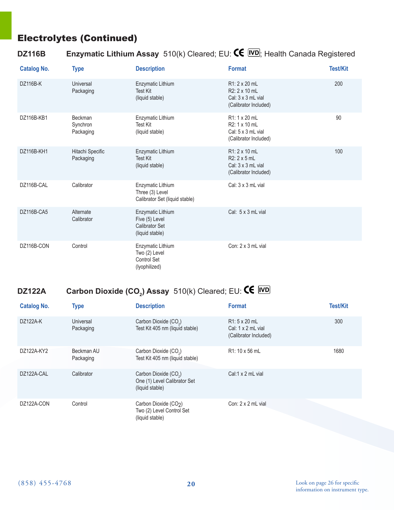## Electrolytes (Continued)

## **DZ116B Enzymatic Lithium Assay** 510(k) Cleared; EU: **CE IVD**; Health Canada Registered

| <b>Catalog No.</b> | <b>Type</b>                      | <b>Description</b>                                                              | <b>Format</b>                                                                        | <b>Test/Kit</b> |
|--------------------|----------------------------------|---------------------------------------------------------------------------------|--------------------------------------------------------------------------------------|-----------------|
| <b>DZ116B-K</b>    | Universal<br>Packaging           | Enzymatic Lithium<br><b>Test Kit</b><br>(liquid stable)                         | R1: 2 x 20 mL<br>R2: 2 x 10 mL<br>Cal: 3 x 3 mL vial<br>(Calibrator Included)        | 200             |
| DZ116B-KB1         | Beckman<br>Synchron<br>Packaging | Enzymatic Lithium<br><b>Test Kit</b><br>(liquid stable)                         | R1: 1 x 20 mL<br>R2: 1 x 10 mL<br>Cal: $5 \times 3$ mL vial<br>(Calibrator Included) | 90              |
| DZ116B-KH1         | Hitachi Specific<br>Packaging    | Enzymatic Lithium<br>Test Kit<br>(liquid stable)                                | R1: 2 x 10 mL<br>R2: 2 x 5 mL<br>Cal: $3 \times 3$ mL vial<br>(Calibrator Included)  | 100             |
| DZ116B-CAL         | Calibrator                       | Enzymatic Lithium<br>Three (3) Level<br>Calibrator Set (liquid stable)          | Cal: 3 x 3 mL vial                                                                   |                 |
| DZ116B-CA5         | Alternate<br>Calibrator          | Enzymatic Lithium<br>Five (5) Level<br><b>Calibrator Set</b><br>(liquid stable) | Cal: 5 x 3 mL vial                                                                   |                 |
| DZ116B-CON         | Control                          | Enzymatic Lithium<br>Two (2) Level<br><b>Control Set</b><br>(lyophilized)       | Con: 2 x 3 mL vial                                                                   |                 |

## **DZ122A Carbon Dioxide (CO<sub>2</sub>) Assay** 510(k) Cleared; EU:

| <b>Catalog No.</b> | <b>Type</b>             | <b>Description</b>                                                                   | <b>Format</b>                                                              | <b>Test/Kit</b> |
|--------------------|-------------------------|--------------------------------------------------------------------------------------|----------------------------------------------------------------------------|-----------------|
| DZ122A-K           | Universal<br>Packaging  | Carbon Dioxide (CO <sub>2</sub> )<br>Test Kit 405 nm (liquid stable)                 | $R1: 5 \times 20$ mL<br>Cal: $1 \times 2$ mL vial<br>(Calibrator Included) | 300             |
| DZ122A-KY2         | Beckman AU<br>Packaging | Carbon Dioxide (CO <sub>2</sub> )<br>Test Kit 405 nm (liquid stable)                 | R <sub>1</sub> : 10 x 56 mL                                                | 1680            |
| DZ122A-CAL         | Calibrator              | Carbon Dioxide (CO <sub>2</sub> )<br>One (1) Level Calibrator Set<br>(liquid stable) | Cal:1 $\times$ 2 mL vial                                                   |                 |
| DZ122A-CON         | Control                 | Carbon Dioxide (CO2)<br>Two (2) Level Control Set<br>(liquid stable)                 | Con: 2 x 2 mL vial                                                         |                 |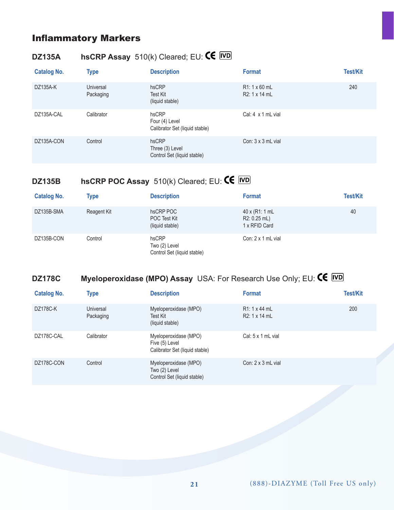## Inflammatory Markers

# **DZ135A hsCRP Assay** 510(k) Cleared; EU:

| <b>Catalog No.</b> | <b>Type</b>            | <b>Description</b>                                        | <b>Format</b>                        | <b>Test/Kit</b> |
|--------------------|------------------------|-----------------------------------------------------------|--------------------------------------|-----------------|
| DZ135A-K           | Universal<br>Packaging | hsCRP<br>Test Kit<br>(liquid stable)                      | $R1:1 \times 60$ mL<br>R2: 1 x 14 mL | 240             |
| DZ135A-CAL         | Calibrator             | hsCRP<br>Four (4) Level<br>Calibrator Set (liquid stable) | Cal: $4 \times 1$ mL vial            |                 |
| DZ135A-CON         | Control                | hsCRP<br>Three (3) Level<br>Control Set (liquid stable)   | Con: $3 \times 3$ mL vial            |                 |

# **DZ135B hsCRP POC Assay** 510(k) Cleared; EU: **CE** *WD*

| <b>Catalog No.</b> | <b>Type</b> | <b>Description</b>                                    | <b>Format</b>                                          | <b>Test/Kit</b> |
|--------------------|-------------|-------------------------------------------------------|--------------------------------------------------------|-----------------|
| DZ135B-SMA         | Reagent Kit | hsCRP POC<br>POC Test Kit<br>(liquid stable)          | $40 \times (R1:1 mL)$<br>R2: 0.25 mL)<br>1 x RFID Card | 40              |
| DZ135B-CON         | Control     | hsCRP<br>Two (2) Level<br>Control Set (liquid stable) | Con: $2 \times 1$ mL vial                              |                 |

# **DZ178C Myeloperoxidase (MPO) Assay** USA: For Research Use Only; EU:  $\text{CE}$  *WD*

| <b>Catalog No.</b> | <b>Type</b>            | <b>Description</b>                                                        | <b>Format</b>                         | <b>Test/Kit</b> |
|--------------------|------------------------|---------------------------------------------------------------------------|---------------------------------------|-----------------|
| DZ178C-K           | Universal<br>Packaging | Myeloperoxidase (MPO)<br>Test Kit<br>(liquid stable)                      | $R1: 1 \times 44$ mL<br>R2: 1 x 14 mL | 200             |
| DZ178C-CAL         | Calibrator             | Myeloperoxidase (MPO)<br>Five (5) Level<br>Calibrator Set (liquid stable) | Cal: $5 \times 1$ mL vial             |                 |
| DZ178C-CON         | Control                | Myeloperoxidase (MPO)<br>Two (2) Level<br>Control Set (liquid stable)     | Con: $2 \times 3$ mL vial             |                 |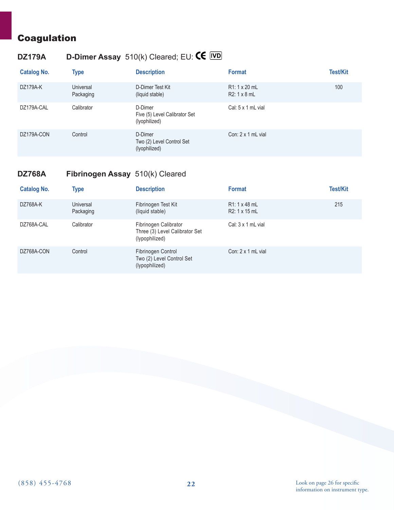## Coagulation

# **DZ179A D-Dimer Assay** 510(k) Cleared; EU:

| <b>Catalog No.</b> | <b>Type</b>            | <b>Description</b>                                        | <b>Format</b>                             | <b>Test/Kit</b> |
|--------------------|------------------------|-----------------------------------------------------------|-------------------------------------------|-----------------|
| DZ179A-K           | Universal<br>Packaging | D-Dimer Test Kit<br>(liquid stable)                       | $R1:1 \times 20$ mL<br>$R2:1 \times 8$ mL | 100             |
| DZ179A-CAL         | Calibrator             | D-Dimer<br>Five (5) Level Calibrator Set<br>(lyophilized) | Cal: $5 \times 1$ mL vial                 |                 |
| DZ179A-CON         | Control                | D-Dimer<br>Two (2) Level Control Set<br>(lyophilized)     | Con: $2 \times 1$ mL vial                 |                 |

#### **DZ768A Fibrinogen Assay** 510(k) Cleared

| <b>Catalog No.</b> | <b>Type</b>            | <b>Description</b>                                                        | <b>Format</b>                        | <b>Test/Kit</b> |
|--------------------|------------------------|---------------------------------------------------------------------------|--------------------------------------|-----------------|
| DZ768A-K           | Universal<br>Packaging | Fibrinogen Test Kit<br>(liquid stable)                                    | $R1:1 \times 48$ mL<br>R2: 1 x 15 mL | 215             |
| DZ768A-CAL         | Calibrator             | Fibrinogen Calibrator<br>Three (3) Level Calibrator Set<br>(lypophilized) | Cal: $3 \times 1$ mL vial            |                 |
| DZ768A-CON         | Control                | Fibrinogen Control<br>Two (2) Level Control Set<br>(lypophilized)         | Con: $2 \times 1$ mL vial            |                 |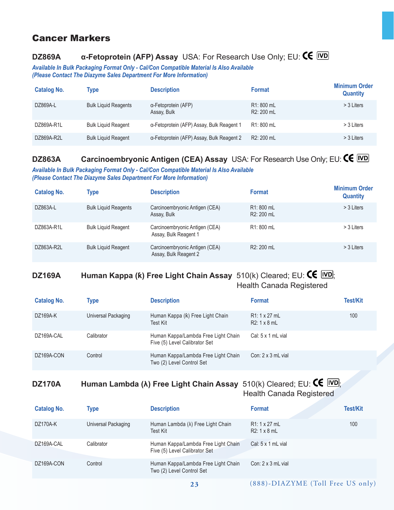#### Cancer Markers

## **DZ869A α-Fetoprotein (AFP) Assay** USA: For Research Use Only; EU:

*Available In Bulk Packaging Format Only - Cal/Con Compatible Material Is Also Available (Please Contact The Diazyme Sales Department For More Information)*

| <b>Catalog No.</b> | <b>Type</b>                 | <b>Description</b>                        | <b>Format</b>            | <b>Minimum Order</b><br><b>Quantity</b> |
|--------------------|-----------------------------|-------------------------------------------|--------------------------|-----------------------------------------|
| DZ869A-L           | <b>Bulk Liquid Reagents</b> | α-Fetoprotein (AFP)<br>Assay, Bulk        | R1: 800 mL<br>R2: 200 mL | > 3 Liters                              |
| DZ869A-R1L         | <b>Bulk Liquid Reagent</b>  | a-Fetoprotein (AFP) Assay, Bulk Reagent 1 | R1: 800 mL               | > 3 Liters                              |
| DZ869A-R2L         | <b>Bulk Liquid Reagent</b>  | a-Fetoprotein (AFP) Assay, Bulk Reagent 2 | R <sub>2</sub> : 200 mL  | > 3 Liters                              |

## **DZ863A Carcinoembryonic Antigen (CEA) Assay** USA: For Research Use Only; EU: **CE IVD**

*Available In Bulk Packaging Format Only - Cal/Con Compatible Material Is Also Available (Please Contact The Diazyme Sales Department For More Information)*

| <b>Catalog No.</b> | <b>Type</b>                 | <b>Description</b>                                      | <b>Format</b>                         | <b>Minimum Order</b><br><b>Quantity</b> |
|--------------------|-----------------------------|---------------------------------------------------------|---------------------------------------|-----------------------------------------|
| DZ863A-L           | <b>Bulk Liquid Reagents</b> | Carcinoembryonic Antigen (CEA)<br>Assay, Bulk           | R <sub>1</sub> : 800 mL<br>R2: 200 mL | > 3 Liters                              |
| DZ863A-R1L         | <b>Bulk Liquid Reagent</b>  | Carcinoembryonic Antigen (CEA)<br>Assay, Bulk Reagent 1 | R1: 800 mL                            | > 3 Liters                              |
| DZ863A-R2L         | <b>Bulk Liquid Reagent</b>  | Carcinoembryonic Antigen (CEA)<br>Assay, Bulk Reagent 2 | R2: 200 mL                            | > 3 Liters                              |

#### **DZ169A Human Kappa (k) Free Light Chain Assay** 510(k) Cleared; EU: **CE** *WD*; Health Canada Registered

| <b>Catalog No.</b> | Type                | <b>Description</b>                                                   | <b>Format</b>                                    | <b>Test/Kit</b> |
|--------------------|---------------------|----------------------------------------------------------------------|--------------------------------------------------|-----------------|
| DZ169A-K           | Universal Packaging | Human Kappa (k) Free Light Chain<br>Test Kit                         | R <sub>1</sub> : 1 x 27 mL<br>$R2:1 \times 8$ mL | 100             |
| DZ169A-CAL         | Calibrator          | Human Kappa/Lambda Free Light Chain<br>Five (5) Level Calibrator Set | Cal: $5 \times 1$ mL vial                        |                 |
| DZ169A-CON         | Control             | Human Kappa/Lambda Free Light Chain<br>Two (2) Level Control Set     | Con: $2 \times 3$ mL vial                        |                 |

#### **DZ170A Human Lambda (λ) Free Light Chain Assay** 510(k) Cleared; EU: CE **IVD**; Health Canada Registered

**Catalog No. Type Description Format Test/Kit**  DZ170A-K Universal Packaging Human Lambda (λ) Free Light Chain Test Kit R1: 1 x 27 mL R2: 1 x 8 mL 100 DZ169A-CAL Calibrator Calibrator Human Kappa/Lambda Free Light Chain Five (5) Level Calibrator Set Cal: 5 x 1 mL vial DZ169A-CON Control Control Human Kappa/Lambda Free Light Chain Two (2) Level Control Set Con: 2 x 3 mL vial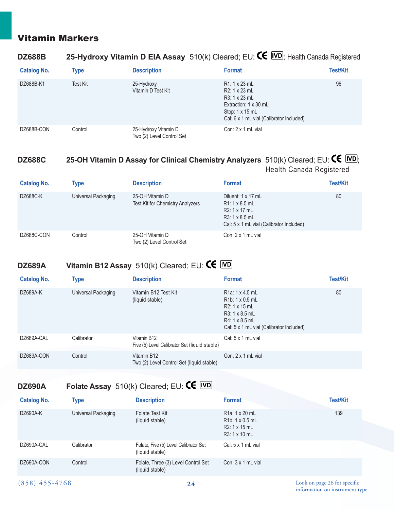### Vitamin Markers

#### **DZ688B 25-Hydroxy Vitamin D EIA Assay** 510(k) Cleared; EU:  $\mathsf{CE}$  **IVD**, Health Canada Registered

| <b>Catalog No.</b> | <b>Type</b> | <b>Description</b>                                | <b>Format</b>                                                                                                                                         | <b>Test/Kit</b> |
|--------------------|-------------|---------------------------------------------------|-------------------------------------------------------------------------------------------------------------------------------------------------------|-----------------|
| DZ688B-K1          | Test Kit    | 25-Hydroxy<br>Vitamin D Test Kit                  | R1: 1 x 23 mL<br>$R2: 1 \times 23$ mL<br>R3: 1 x 23 mL<br>Extraction: $1 \times 30$ mL<br>Stop: 1 x 15 mL<br>Cal: 6 x 1 mL vial (Calibrator Included) | 96              |
| DZ688B-CON         | Control     | 25-Hydroxy Vitamin D<br>Two (2) Level Control Set | Con: $2 \times 1$ mL vial                                                                                                                             |                 |

#### **DZ688C 25-OH Vitamin D Assay for Clinical Chemistry Analyzers**  $510(k)$  Cleared; EU:  $\text{CE}$  [VD]; Health Canada Registered

| <b>Catalog No.</b> | <b>Type</b>         | <b>Description</b>                                         | <b>Format</b>                                                                                                                    | <b>Test/Kit</b> |
|--------------------|---------------------|------------------------------------------------------------|----------------------------------------------------------------------------------------------------------------------------------|-----------------|
| DZ688C-K           | Universal Packaging | 25-OH Vitamin D<br><b>Test Kit for Chemistry Analyzers</b> | Diluent: 1 x 17 mL<br>$R1:1 \times 8.5$ mL<br>R2: 1 x 17 mL<br>$R3: 1 \times 8.5$ mL<br>Cal: 5 x 1 mL vial (Calibrator Included) | 80              |
| DZ688C-CON         | Control             | 25-OH Vitamin D<br>Two (2) Level Control Set               | Con: $2 \times 1$ mL vial                                                                                                        |                 |

## **DZ689A Vitamin B12 Assay** 510(k) Cleared; EU:

| <b>Catalog No.</b> | <b>Type</b>         | <b>Description</b>                                           | <b>Format</b>                                                                                                                                           | <b>Test/Kit</b> |
|--------------------|---------------------|--------------------------------------------------------------|---------------------------------------------------------------------------------------------------------------------------------------------------------|-----------------|
| DZ689A-K           | Universal Packaging | Vitamin B12 Test Kit<br>(liquid stable)                      | R <sub>1</sub> a: 1 x 4.5 mL<br>$R1b: 1 \times 0.5$ mL<br>R2: 1 x 15 mL<br>R3: 1 x 8.5 mL<br>R4: 1 x 8.5 mL<br>Cal: 5 x 1 mL vial (Calibrator Included) | 80              |
| DZ689A-CAL         | Calibrator          | Vitamin B12<br>Five (5) Level Calibrator Set (liquid stable) | Cal: $5 \times 1$ mL vial                                                                                                                               |                 |
| DZ689A-CON         | Control             | Vitamin B12<br>Two (2) Level Control Set (liquid stable)     | Con: $2 \times 1$ mL vial                                                                                                                               |                 |

## **DZ690A Folate Assay** 510(k) Cleared; EU:

| <b>Catalog No.</b> | Type                | <b>Description</b>                                       | <b>Format</b>                                                                                        | <b>Test/Kit</b> |
|--------------------|---------------------|----------------------------------------------------------|------------------------------------------------------------------------------------------------------|-----------------|
| DZ690A-K           | Universal Packaging | <b>Folate Test Kit</b><br>(liquid stable)                | R <sub>1</sub> a: 1 x 20 mL<br>R <sub>1</sub> b: 1 x 0.5 mL<br>$R2: 1 \times 15$ mL<br>R3: 1 x 10 mL | 139             |
| DZ690A-CAL         | Calibrator          | Folate, Five (5) Level Calibrator Set<br>(liquid stable) | Cal: $5 \times 1$ mL vial                                                                            |                 |
| DZ690A-CON         | Control             | Folate, Three (3) Level Control Set<br>(liquid stable)   | Con: $3 \times 1$ mL vial                                                                            |                 |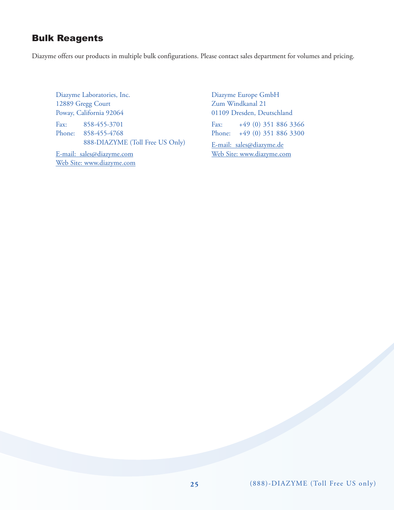#### Bulk Reagents

Diazyme offers our products in multiple bulk configurations. Please contact sales department for volumes and pricing.

Diazyme Laboratories, Inc. 12889 Gregg Court Poway, California 92064 Fax: 858-455-3701 Phone: 858-455-4768 888-DIAZYME (Toll Free US Only)

E-mail: sales@diazyme.com Web Site: www.diazyme.com Diazyme Europe GmbH Zum Windkanal 21 01109 Dresden, Deutschland Fax: +49 (0) 351 886 3366

Phone: +49 (0) 351 886 3300

E-mail: sales@diazyme.de Web Site: www.diazyme.com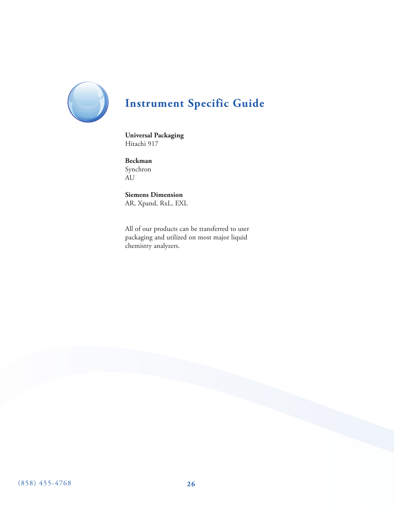

# **Instrument Specific Guide**

**Universal Packaging** Hitachi 917

**Beckman** Synchron AU

**Siemens Dimension** AR, Xpand, RxL, EXL

All of our products can be transferred to user packaging and utilized on most major liquid chemistry analyzers.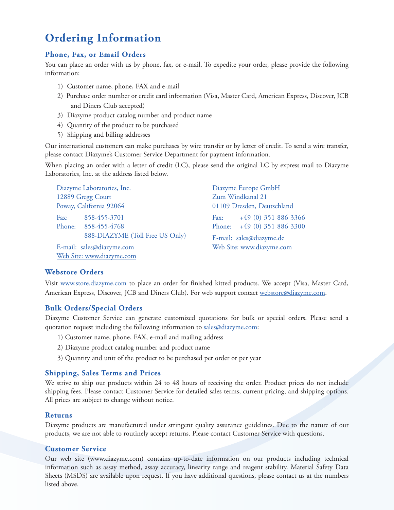# **Ordering Information**

#### **Phone, Fax, or Email Orders**

You can place an order with us by phone, fax, or e-mail. To expedite your order, please provide the following information:

- 1) Customer name, phone, FAX and e-mail
- 2) Purchase order number or credit card information (Visa, Master Card, American Express, Discover, JCB and Diners Club accepted)
- 3) Diazyme product catalog number and product name
- 4) Quantity of the product to be purchased
- 5) Shipping and billing addresses

Our international customers can make purchases by wire transfer or by letter of credit. To send a wire transfer, please contact Diazyme's Customer Service Department for payment information.

When placing an order with a letter of credit (LC), please send the original LC by express mail to Diazyme Laboratories, Inc. at the address listed below.

| Diazyme Laboratories, Inc. |                                 |      | Diazyme Europe GmbH         |  |
|----------------------------|---------------------------------|------|-----------------------------|--|
| 12889 Gregg Court          |                                 |      | Zum Windkanal 21            |  |
| Poway, California 92064    |                                 |      | 01109 Dresden, Deutschland  |  |
|                            | Fax: $858-455-3701$             | Fax: | +49 (0) 351 886 3366        |  |
|                            | Phone: 858-455-4768             |      | Phone: +49 (0) 351 886 3300 |  |
|                            | 888-DIAZYME (Toll Free US Only) |      | E-mail: sales@diazyme.de    |  |
| E-mail: sales@diazyme.com  |                                 |      | Web Site: www.diazyme.com   |  |
|                            | Web Site: www.diazyme.com       |      |                             |  |

#### **Webstore Orders**

Visit www.store.diazyme.com to place an order for finished kitted products. We accept (Visa, Master Card, American Express, Discover, JCB and Diners Club). For web support contact webstore@diazyme.com.

#### **Bulk Orders/Special Orders**

Diazyme Customer Service can generate customized quotations for bulk or special orders. Please send a quotation request including the following information to sales@diazyme.com:

- 1) Customer name, phone, FAX, e-mail and mailing address
- 2) Diazyme product catalog number and product name
- 3) Quantity and unit of the product to be purchased per order or per year

#### **Shipping, Sales Terms and Prices**

We strive to ship our products within 24 to 48 hours of receiving the order. Product prices do not include shipping fees. Please contact Customer Service for detailed sales terms, current pricing, and shipping options. All prices are subject to change without notice.

#### **Returns**

Diazyme products are manufactured under stringent quality assurance guidelines. Due to the nature of our products, we are not able to routinely accept returns. Please contact Customer Service with questions.

#### **Customer Service**

Our web site (www.diazyme.com) contains up-to-date information on our products including technical information such as assay method, assay accuracy, linearity range and reagent stability. Material Safety Data Sheets (MSDS) are available upon request. If you have additional questions, please contact us at the numbers listed above.